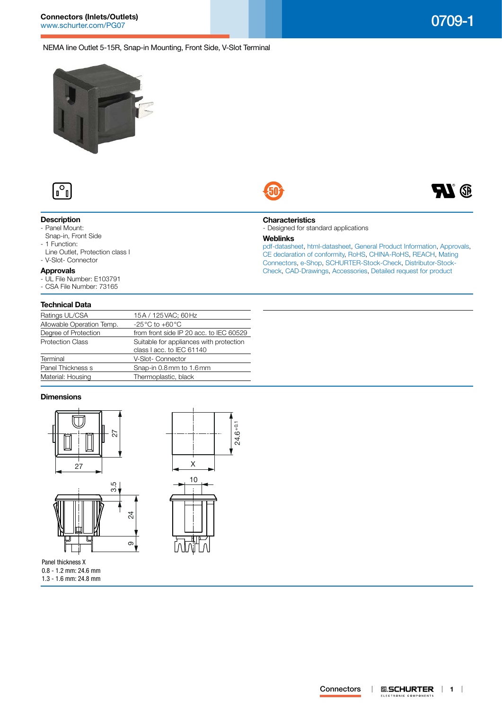**DY** 

# NEMA line Outlet 5-15R, Snap-in Mounting, Front Side, V-Slot Terminal



**Connectors (Inlets/Outlets)**



# **Description**

- Panel Mount: Snap-in, Front Side
- 1 Function:
- 
- Line Outlet, Protection class I - V-Slot- Connector

# **Approvals**

- UL File Number: E103791
- CSA File Number: 73165

#### **Technical Data**

| Ratings UL/CSA            | 15A / 125 VAC; 60 Hz                    |
|---------------------------|-----------------------------------------|
| Allowable Operation Temp. | $-25^{\circ}$ C to $+60^{\circ}$ C      |
| Degree of Protection      | from front side IP 20 acc. to IEC 60529 |
| <b>Protection Class</b>   | Suitable for appliances with protection |
|                           | class I acc. to IEC 61140               |
| Terminal                  | V-Slot- Connector                       |
| Panel Thickness s         | Snap-in 0.8mm to 1.6mm                  |
| Material: Housing         | Thermoplastic, black                    |
|                           |                                         |

## **Dimensions**



Panel thickness X 0.8 - 1.2 mm: 24.6 mm 1.3 - 1.6 mm: 24.8 mm



#### **Characteristics**

- Designed for standard applications

### **Weblinks**

 $24.6 + 0.1$ 

[pdf-datasheet](http://www.schurter.ch/pdf/english/typ_0709-1.pdf), [html-datasheet](http://www.schurter.ch/en/datasheet/0709-1), [General Product Information,](http://www.schurter.ch/products/iec_connector_overview.asp) [Approvals](http://www.schurter.ch/en/Documents-References/Approvals/(id)/0709-1), [CE declaration of conformity,](http://www.schurter.com/en/Documents-References/Approvals/(id)/0709-1+AND+FIELD+CertificationInstitute=SAG) [RoHS](http://www.schurter.ch/company/rohs.asp), [CHINA-RoHS](http://www.schurter.ch/company/china_rohs.asp), [REACH,](http://www.schurter.ch/REACH) [Mating](http://www.schurter.ch/Components/Connectors/Mating-Connectors)  [Connectors,](http://www.schurter.ch/Components/Connectors/Mating-Connectors) [e-Shop,](http://www.schurter.ch/en/datasheet/0709-1#Anker_Variants) [SCHURTER-Stock-Check](http://www.schurter.ch/en/Stock-Check/Stock-Check-SCHURTER?MAKTX=0709-1&COM_QTY=1&AUTOSEARCH=true), [Distributor-Stock-](http://www.schurter.com/en/Stock-Check/Stock-Check-Distributor?partnumber1=0709-1)[Check](http://www.schurter.com/en/Stock-Check/Stock-Check-Distributor?partnumber1=0709-1), [CAD-Drawings,](http://www.schurter.com/support/iframe_cad.asp?SearchText=0709-1&ConfirmButton&SearchFilter=Type) [Accessories,](http://www.schurter.ch/wwwsc/con_z01.asp) [Detailed request for product](http://www.schurter.com/en/Contacts/Contact-Form?type=0709-1)